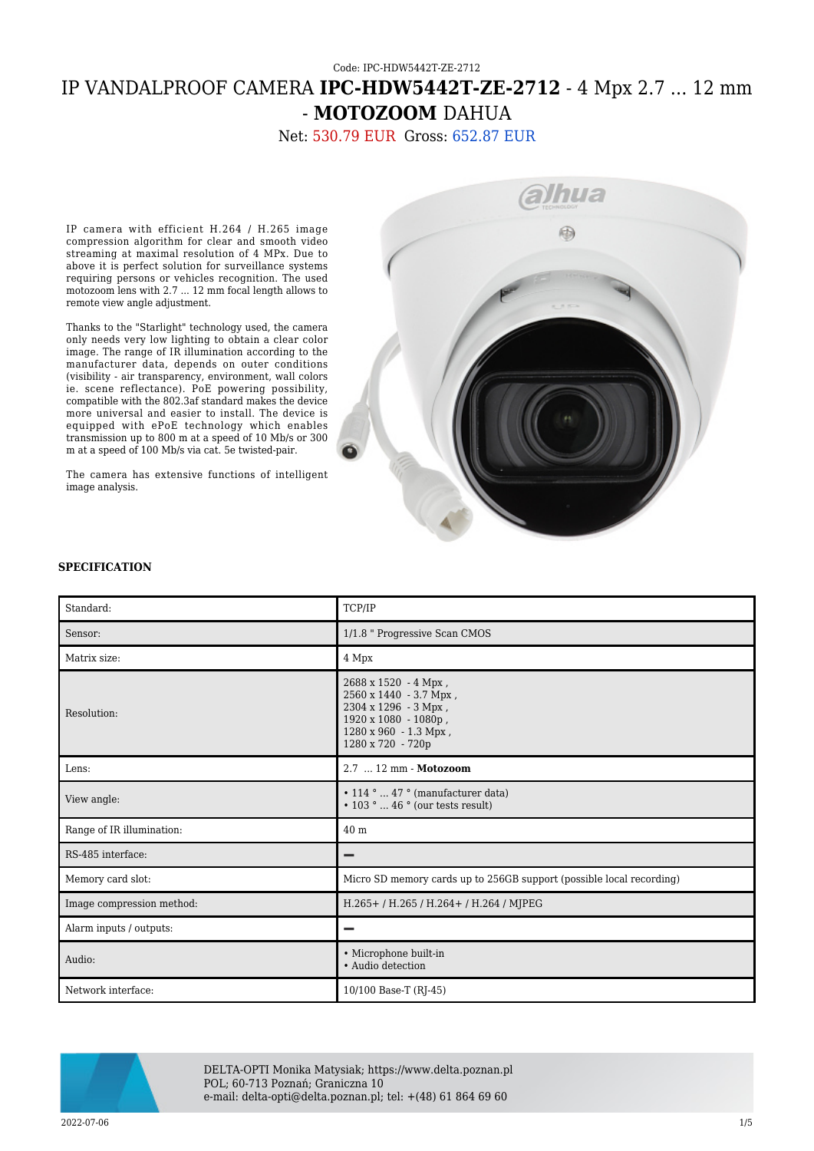## Code: IPC-HDW5442T-ZE-2712 IP VANDALPROOF CAMERA **IPC-HDW5442T-ZE-2712** - 4 Mpx 2.7 ... 12 mm - **MOTOZOOM** DAHUA

Net: 530.79 EUR Gross: 652.87 EUR

IP camera with efficient H.264 / H.265 image compression algorithm for clear and smooth video streaming at maximal resolution of 4 MPx. Due to above it is perfect solution for surveillance systems requiring persons or vehicles recognition. The used motozoom lens with 2.7 ... 12 mm focal length allows to remote view angle adjustment.

Thanks to the "Starlight" technology used, the camera only needs very low lighting to obtain a clear color image. The range of IR illumination according to the manufacturer data, depends on outer conditions (visibility - air transparency, environment, wall colors ie. scene reflectance). PoE powering possibility, compatible with the 802.3af standard makes the device more universal and easier to install. The device is equipped with ePoE technology which enables transmission up to 800 m at a speed of 10 Mb/s or 300 m at a speed of 100 Mb/s via cat. 5e twisted-pair.

The camera has extensive functions of intelligent image analysis.



## **SPECIFICATION**

| Standard:                 | TCP/IP                                                                                                                                       |
|---------------------------|----------------------------------------------------------------------------------------------------------------------------------------------|
| Sensor:                   | 1/1.8 " Progressive Scan CMOS                                                                                                                |
| Matrix size:              | 4 Mpx                                                                                                                                        |
| Resolution:               | 2688 x 1520 - 4 Mpx,<br>2560 x 1440 - 3.7 Mpx,<br>2304 x 1296 - 3 Mpx,<br>1920 x 1080 - 1080p,<br>1280 x 960 - 1.3 Mpx,<br>1280 x 720 - 720p |
| Lens:                     | 2.7  12 mm - Motozoom                                                                                                                        |
| View angle:               | $\cdot$ 114 °  47 ° (manufacturer data)<br>$\cdot$ 103 °  46 ° (our tests result)                                                            |
| Range of IR illumination: | 40 <sub>m</sub>                                                                                                                              |
| RS-485 interface:         | -                                                                                                                                            |
| Memory card slot:         | Micro SD memory cards up to 256GB support (possible local recording)                                                                         |
| Image compression method: | H.265+/H.265/H.264+/H.264/MJPEG                                                                                                              |
| Alarm inputs / outputs:   |                                                                                                                                              |
| Audio:                    | • Microphone built-in<br>• Audio detection                                                                                                   |
| Network interface:        | 10/100 Base-T (RJ-45)                                                                                                                        |



DELTA-OPTI Monika Matysiak; https://www.delta.poznan.pl POL; 60-713 Poznań; Graniczna 10 e-mail: delta-opti@delta.poznan.pl; tel: +(48) 61 864 69 60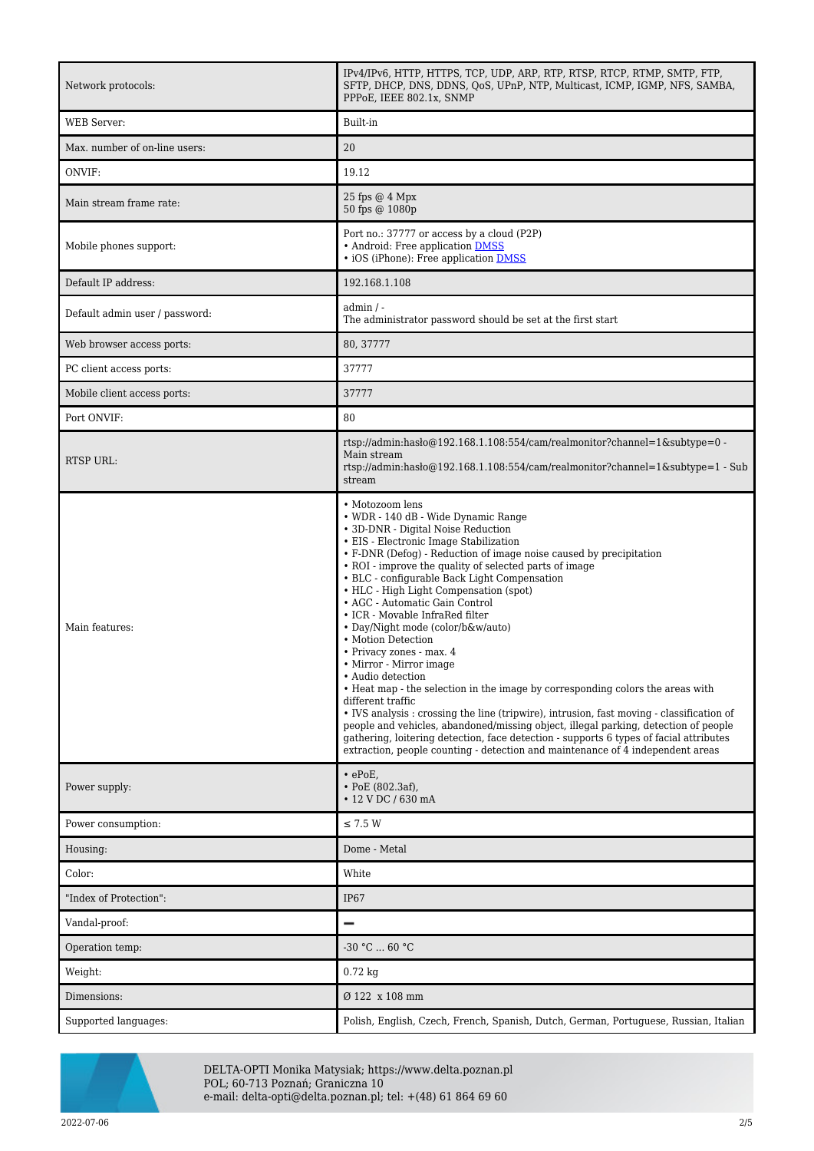| Network protocols:             | IPv4/IPv6, HTTP, HTTPS, TCP, UDP, ARP, RTP, RTSP, RTCP, RTMP, SMTP, FTP,<br>SFTP, DHCP, DNS, DDNS, QoS, UPnP, NTP, Multicast, ICMP, IGMP, NFS, SAMBA,<br>PPPoE, IEEE 802.1x, SNMP                                                                                                                                                                                                                                                                                                                                                                                                                                                                                                                                                                                                                                                                                                                                                                                                                                                                 |
|--------------------------------|---------------------------------------------------------------------------------------------------------------------------------------------------------------------------------------------------------------------------------------------------------------------------------------------------------------------------------------------------------------------------------------------------------------------------------------------------------------------------------------------------------------------------------------------------------------------------------------------------------------------------------------------------------------------------------------------------------------------------------------------------------------------------------------------------------------------------------------------------------------------------------------------------------------------------------------------------------------------------------------------------------------------------------------------------|
| <b>WEB</b> Server:             | Built-in                                                                                                                                                                                                                                                                                                                                                                                                                                                                                                                                                                                                                                                                                                                                                                                                                                                                                                                                                                                                                                          |
| Max. number of on-line users:  | 20                                                                                                                                                                                                                                                                                                                                                                                                                                                                                                                                                                                                                                                                                                                                                                                                                                                                                                                                                                                                                                                |
| ONVIF:                         | 19.12                                                                                                                                                                                                                                                                                                                                                                                                                                                                                                                                                                                                                                                                                                                                                                                                                                                                                                                                                                                                                                             |
| Main stream frame rate:        | $25$ fps $@4$ Mpx<br>50 fps @ 1080p                                                                                                                                                                                                                                                                                                                                                                                                                                                                                                                                                                                                                                                                                                                                                                                                                                                                                                                                                                                                               |
| Mobile phones support:         | Port no.: 37777 or access by a cloud (P2P)<br>• Android: Free application DMSS<br>• iOS (iPhone): Free application DMSS                                                                                                                                                                                                                                                                                                                                                                                                                                                                                                                                                                                                                                                                                                                                                                                                                                                                                                                           |
| Default IP address:            | 192.168.1.108                                                                                                                                                                                                                                                                                                                                                                                                                                                                                                                                                                                                                                                                                                                                                                                                                                                                                                                                                                                                                                     |
| Default admin user / password: | $admin / -$<br>The administrator password should be set at the first start                                                                                                                                                                                                                                                                                                                                                                                                                                                                                                                                                                                                                                                                                                                                                                                                                                                                                                                                                                        |
| Web browser access ports:      | 80, 37777                                                                                                                                                                                                                                                                                                                                                                                                                                                                                                                                                                                                                                                                                                                                                                                                                                                                                                                                                                                                                                         |
| PC client access ports:        | 37777                                                                                                                                                                                                                                                                                                                                                                                                                                                                                                                                                                                                                                                                                                                                                                                                                                                                                                                                                                                                                                             |
| Mobile client access ports:    | 37777                                                                                                                                                                                                                                                                                                                                                                                                                                                                                                                                                                                                                                                                                                                                                                                                                                                                                                                                                                                                                                             |
| Port ONVIF:                    | 80                                                                                                                                                                                                                                                                                                                                                                                                                                                                                                                                                                                                                                                                                                                                                                                                                                                                                                                                                                                                                                                |
| <b>RTSP URL:</b>               | rtsp://admin:hasło@192.168.1.108:554/cam/realmonitor?channel=1&subtype=0 -<br>Main stream<br>rtsp://admin:hasho@192.168.1.108:554/cam/realmonitor?channel=1&subtype=1 - Sub<br>stream                                                                                                                                                                                                                                                                                                                                                                                                                                                                                                                                                                                                                                                                                                                                                                                                                                                             |
| Main features:                 | • Motozoom lens<br>• WDR - 140 dB - Wide Dynamic Range<br>• 3D-DNR - Digital Noise Reduction<br>• EIS - Electronic Image Stabilization<br>• F-DNR (Defog) - Reduction of image noise caused by precipitation<br>• ROI - improve the quality of selected parts of image<br>• BLC - configurable Back Light Compensation<br>• HLC - High Light Compensation (spot)<br>• AGC - Automatic Gain Control<br>• ICR - Movable InfraRed filter<br>• Day/Night mode (color/b&w/auto)<br>• Motion Detection<br>• Privacy zones - max. 4<br>• Mirror - Mirror image<br>Audio detection<br>• Heat map - the selection in the image by corresponding colors the areas with<br>different traffic<br>• IVS analysis : crossing the line (tripwire), intrusion, fast moving - classification of<br>people and vehicles, abandoned/missing object, illegal parking, detection of people<br>gathering, loitering detection, face detection - supports 6 types of facial attributes<br>extraction, people counting - detection and maintenance of 4 independent areas |
| Power supply:                  | $\cdot$ ePoE,<br>$\cdot$ PoE (802.3af),<br>• 12 V DC / 630 mA                                                                                                                                                                                                                                                                                                                                                                                                                                                                                                                                                                                                                                                                                                                                                                                                                                                                                                                                                                                     |
| Power consumption:             | $\leq$ 7.5 W                                                                                                                                                                                                                                                                                                                                                                                                                                                                                                                                                                                                                                                                                                                                                                                                                                                                                                                                                                                                                                      |
| Housing:                       | Dome - Metal                                                                                                                                                                                                                                                                                                                                                                                                                                                                                                                                                                                                                                                                                                                                                                                                                                                                                                                                                                                                                                      |
| Color:                         | White                                                                                                                                                                                                                                                                                                                                                                                                                                                                                                                                                                                                                                                                                                                                                                                                                                                                                                                                                                                                                                             |
| "Index of Protection":         | IP <sub>67</sub>                                                                                                                                                                                                                                                                                                                                                                                                                                                                                                                                                                                                                                                                                                                                                                                                                                                                                                                                                                                                                                  |
| Vandal-proof:                  | -                                                                                                                                                                                                                                                                                                                                                                                                                                                                                                                                                                                                                                                                                                                                                                                                                                                                                                                                                                                                                                                 |
| Operation temp:                | -30 °C  60 °C                                                                                                                                                                                                                                                                                                                                                                                                                                                                                                                                                                                                                                                                                                                                                                                                                                                                                                                                                                                                                                     |
| Weight:                        | $0.72$ kg                                                                                                                                                                                                                                                                                                                                                                                                                                                                                                                                                                                                                                                                                                                                                                                                                                                                                                                                                                                                                                         |
| Dimensions:                    | Ø 122 x 108 mm                                                                                                                                                                                                                                                                                                                                                                                                                                                                                                                                                                                                                                                                                                                                                                                                                                                                                                                                                                                                                                    |
| Supported languages:           | Polish, English, Czech, French, Spanish, Dutch, German, Portuguese, Russian, Italian                                                                                                                                                                                                                                                                                                                                                                                                                                                                                                                                                                                                                                                                                                                                                                                                                                                                                                                                                              |



DELTA-OPTI Monika Matysiak; https://www.delta.poznan.pl POL; 60-713 Poznań; Graniczna 10 e-mail: delta-opti@delta.poznan.pl; tel: +(48) 61 864 69 60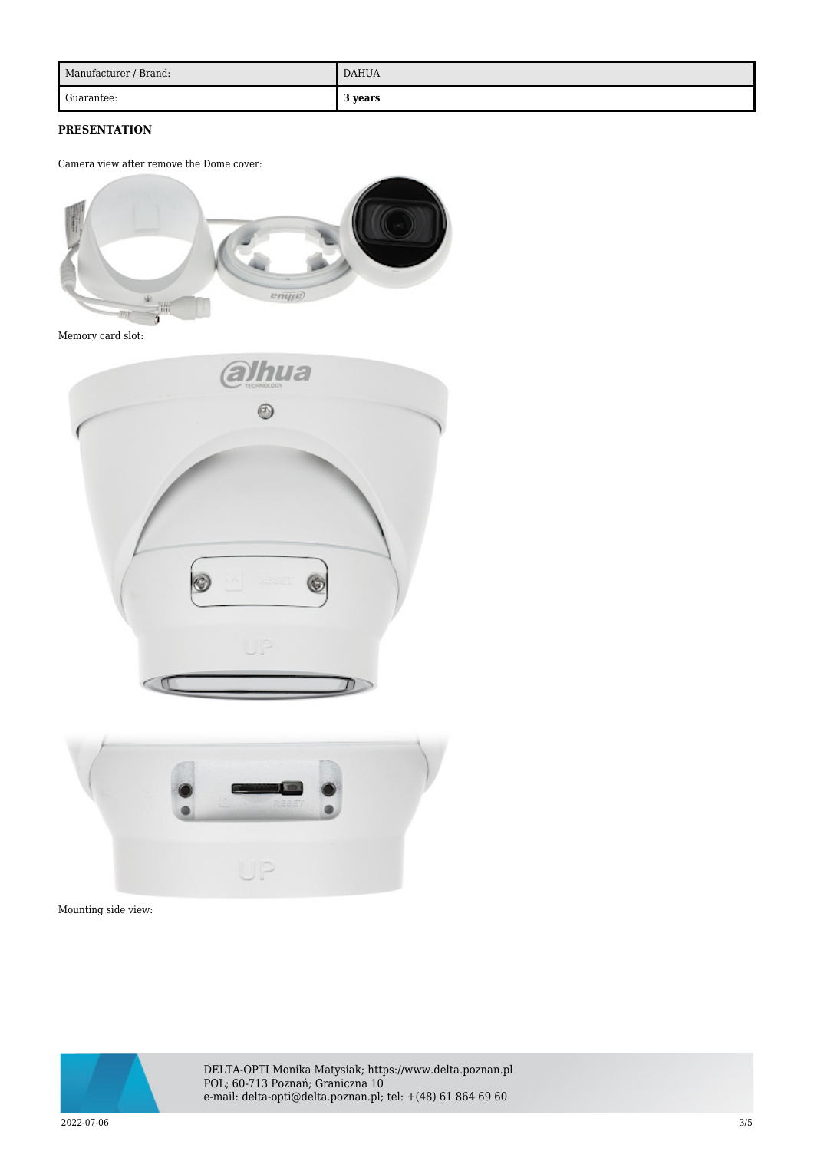| Manufacturer / Brand: | <b>DAHUA</b> |
|-----------------------|--------------|
| Guarantee:            | 3 years      |

## **PRESENTATION**

Camera view after remove the Dome cover:



Memory card slot:





Mounting side view:



DELTA-OPTI Monika Matysiak; https://www.delta.poznan.pl POL; 60-713 Poznań; Graniczna 10 e-mail: delta-opti@delta.poznan.pl; tel: +(48) 61 864 69 60

2022-07-06 3/5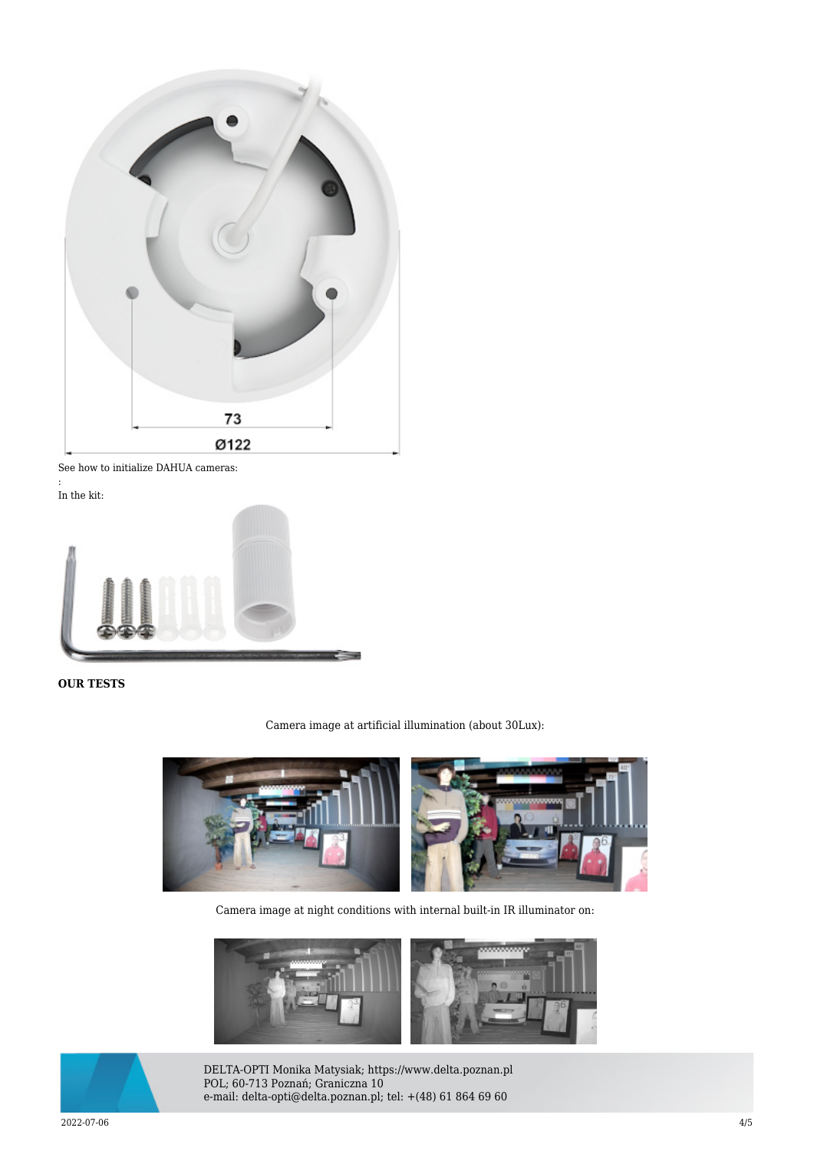

See how to initialize DAHUA cameras:

: In the kit:



## **OUR TESTS**

Camera image at artificial illumination (about 30Lux):



Camera image at night conditions with internal built-in IR illuminator on:





DELTA-OPTI Monika Matysiak; https://www.delta.poznan.pl POL; 60-713 Poznań; Graniczna 10 e-mail: delta-opti@delta.poznan.pl; tel: +(48) 61 864 69 60

2022-07-06 4/5